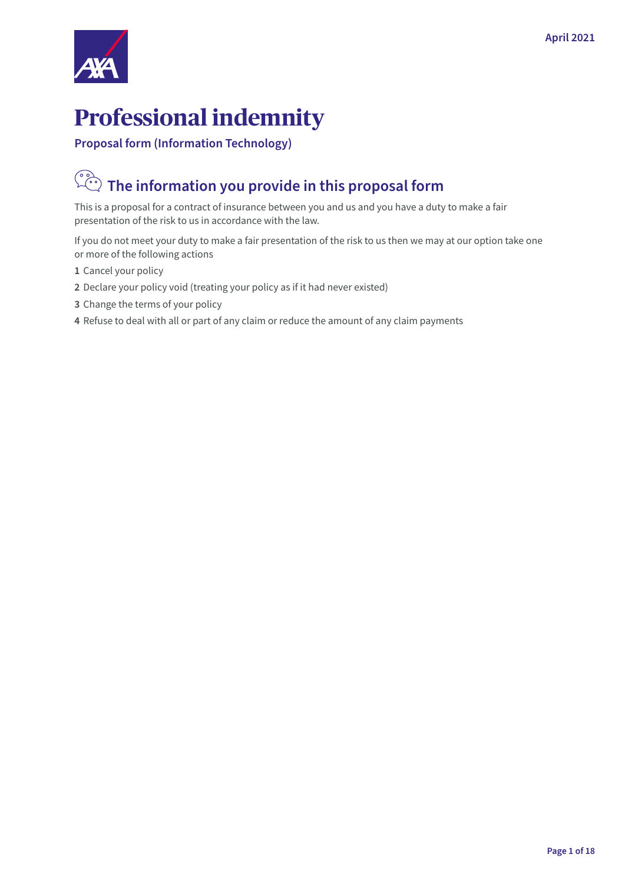

# **Professional indemnity**

**Proposal form (Information Technology)**

#### $\left(\begin{matrix} 0 \\ 0 \\ 0 \end{matrix}\right)$  **The information you provide in this proposal form**

This is a proposal for a contract of insurance between you and us and you have a duty to make a fair presentation of the risk to us in accordance with the law.

If you do not meet your duty to make a fair presentation of the risk to us then we may at our option take one or more of the following actions

- **1** Cancel your policy
- **2** Declare your policy void (treating your policy as if it had never existed)
- **3** Change the terms of your policy
- **4** Refuse to deal with all or part of any claim or reduce the amount of any claim payments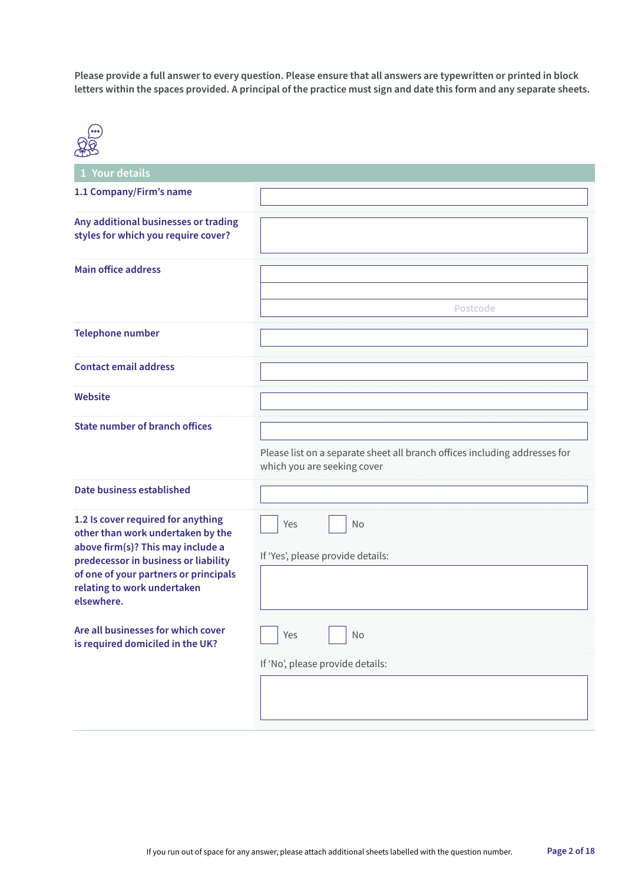**Please provide a full answer to every question. Please ensure that all answers are typewritten or printed in block letters within the spaces provided. A principal of the practice must sign and date this form and any separate sheets.**

| 000                                                                                                                                                                                                                                        |                                                                                                           |
|--------------------------------------------------------------------------------------------------------------------------------------------------------------------------------------------------------------------------------------------|-----------------------------------------------------------------------------------------------------------|
| 1 Your details                                                                                                                                                                                                                             |                                                                                                           |
| 1.1 Company/Firm's name                                                                                                                                                                                                                    |                                                                                                           |
| Any additional businesses or trading<br>styles for which you require cover?                                                                                                                                                                |                                                                                                           |
| <b>Main office address</b>                                                                                                                                                                                                                 |                                                                                                           |
|                                                                                                                                                                                                                                            | <b>Postcode</b>                                                                                           |
| <b>Telephone number</b>                                                                                                                                                                                                                    |                                                                                                           |
| <b>Contact email address</b>                                                                                                                                                                                                               |                                                                                                           |
| Website                                                                                                                                                                                                                                    |                                                                                                           |
| <b>State number of branch offices</b>                                                                                                                                                                                                      | Please list on a separate sheet all branch offices including addresses for<br>which you are seeking cover |
| Date business established                                                                                                                                                                                                                  |                                                                                                           |
| 1.2 Is cover required for anything<br>other than work undertaken by the<br>above firm(s)? This may include a<br>predecessor in business or liability<br>of one of your partners or principals<br>relating to work undertaken<br>elsewhere. | No<br>Yes<br>If 'Yes', please provide details:                                                            |
| Are all businesses for which cover<br>is required domiciled in the UK?                                                                                                                                                                     | Yes<br>No                                                                                                 |
|                                                                                                                                                                                                                                            | If 'No', please provide details:                                                                          |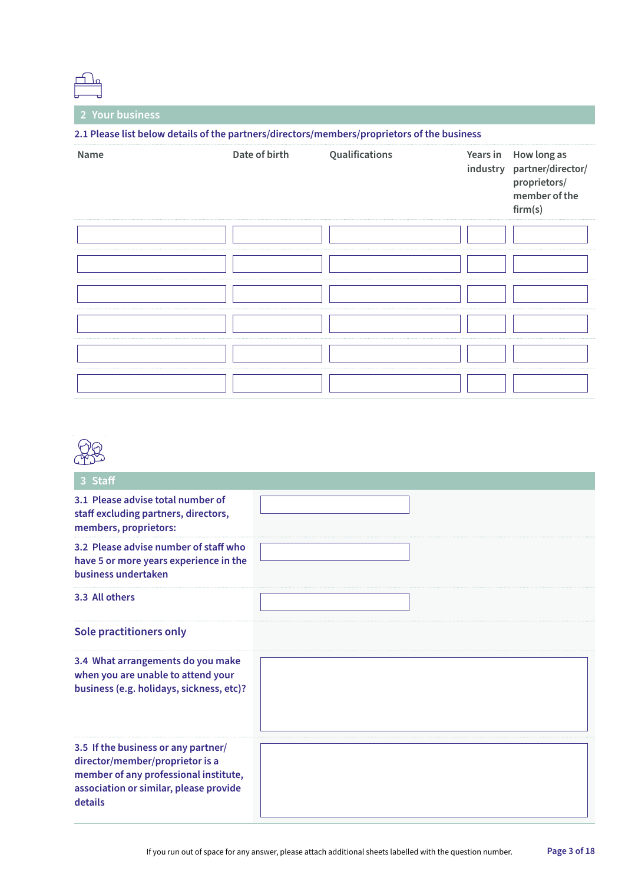**2 Your business**

| 2.1 Please list below details of the partners/directors/members/proprietors of the business |               |                |          |                                                                                       |
|---------------------------------------------------------------------------------------------|---------------|----------------|----------|---------------------------------------------------------------------------------------|
| Name                                                                                        | Date of birth | Qualifications | Years in | How long as<br>industry partner/director/<br>proprietors/<br>member of the<br>firm(s) |
|                                                                                             |               |                |          |                                                                                       |
|                                                                                             |               |                |          |                                                                                       |
|                                                                                             |               |                |          |                                                                                       |
|                                                                                             |               |                |          |                                                                                       |
|                                                                                             |               |                |          |                                                                                       |
|                                                                                             |               |                |          |                                                                                       |

| <b>Staff</b>                                                                                                                                                         |  |
|----------------------------------------------------------------------------------------------------------------------------------------------------------------------|--|
| 3.1 Please advise total number of<br>staff excluding partners, directors,<br>members, proprietors:                                                                   |  |
| 3.2 Please advise number of staff who<br>have 5 or more years experience in the<br>business undertaken                                                               |  |
| 3.3 All others                                                                                                                                                       |  |
| <b>Sole practitioners only</b>                                                                                                                                       |  |
| 3.4 What arrangements do you make<br>when you are unable to attend your<br>business (e.g. holidays, sickness, etc)?                                                  |  |
| 3.5 If the business or any partner/<br>director/member/proprietor is a<br>member of any professional institute,<br>association or similar, please provide<br>details |  |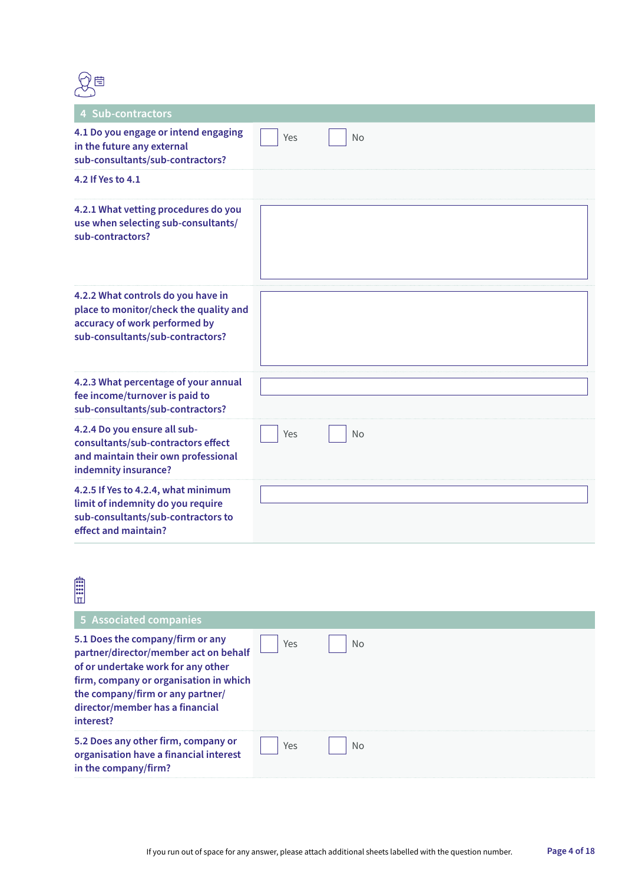

| 4 Sub-contractors                                                                                                                                 |     |    |
|---------------------------------------------------------------------------------------------------------------------------------------------------|-----|----|
| 4.1 Do you engage or intend engaging<br>in the future any external<br>sub-consultants/sub-contractors?                                            | Yes | No |
| 4.2 If Yes to 4.1                                                                                                                                 |     |    |
| 4.2.1 What vetting procedures do you<br>use when selecting sub-consultants/<br>sub-contractors?                                                   |     |    |
| 4.2.2 What controls do you have in<br>place to monitor/check the quality and<br>accuracy of work performed by<br>sub-consultants/sub-contractors? |     |    |
| 4.2.3 What percentage of your annual<br>fee income/turnover is paid to<br>sub-consultants/sub-contractors?                                        |     |    |
| 4.2.4 Do you ensure all sub-<br>consultants/sub-contractors effect<br>and maintain their own professional<br>indemnity insurance?                 | Yes | No |
| 4.2.5 If Yes to 4.2.4, what minimum<br>limit of indemnity do you require<br>sub-consultants/sub-contractors to<br>effect and maintain?            |     |    |

| <b>E</b><br>lπl                                                                                                                                                                                                                                                         |     |    |
|-------------------------------------------------------------------------------------------------------------------------------------------------------------------------------------------------------------------------------------------------------------------------|-----|----|
| 5 Associated companies<br>5.1 Does the company/firm or any<br>partner/director/member act on behalf<br>of or undertake work for any other<br>firm, company or organisation in which<br>the company/firm or any partner/<br>director/member has a financial<br>interest? | Yes | No |
| 5.2 Does any other firm, company or<br>organisation have a financial interest<br>in the company/firm?                                                                                                                                                                   | Yes | No |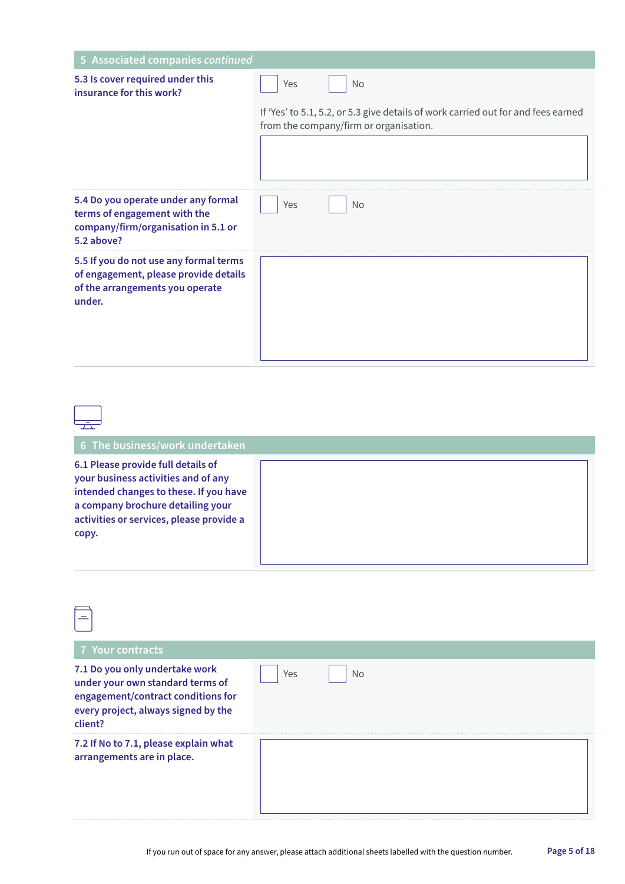| 5 Associated companies continued                                                                                             |                                                                                                                             |
|------------------------------------------------------------------------------------------------------------------------------|-----------------------------------------------------------------------------------------------------------------------------|
| 5.3 Is cover required under this<br>insurance for this work?                                                                 | Yes<br>No                                                                                                                   |
|                                                                                                                              | If 'Yes' to 5.1, 5.2, or 5.3 give details of work carried out for and fees earned<br>from the company/firm or organisation. |
|                                                                                                                              |                                                                                                                             |
| 5.4 Do you operate under any formal<br>terms of engagement with the<br>company/firm/organisation in 5.1 or<br>5.2 above?     | Yes<br>No                                                                                                                   |
| 5.5 If you do not use any formal terms<br>of engagement, please provide details<br>of the arrangements you operate<br>under. |                                                                                                                             |

 $\begin{tabular}{|c|c|} \hline \quad \quad & \quad \quad & \quad \quad \\ \hline \quad \quad & \quad \quad & \quad \quad \\ \hline \quad \quad & \quad \quad & \quad \quad \\ \hline \end{tabular}$ 

| 6 The business/work undertaken                                                                                                                                                                                |  |
|---------------------------------------------------------------------------------------------------------------------------------------------------------------------------------------------------------------|--|
| 6.1 Please provide full details of<br>your business activities and of any<br>intended changes to these. If you have<br>a company brochure detailing your<br>activities or services, please provide a<br>copy. |  |

| 7 Your contracts                                                                                                                                           |                  |
|------------------------------------------------------------------------------------------------------------------------------------------------------------|------------------|
| 7.1 Do you only undertake work<br>under your own standard terms of<br>engagement/contract conditions for<br>every project, always signed by the<br>client? | <b>No</b><br>Yes |
| 7.2 If No to 7.1, please explain what<br>arrangements are in place.                                                                                        |                  |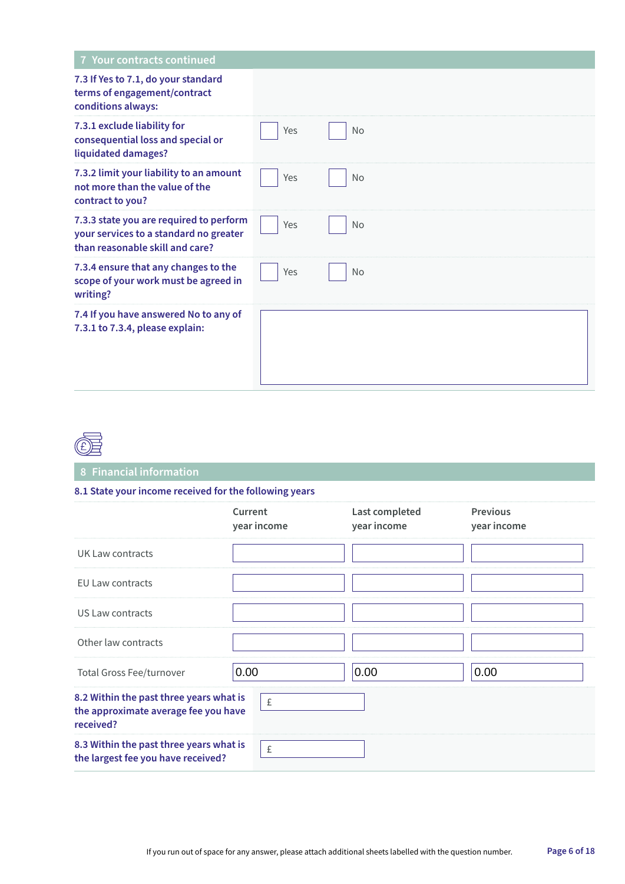| 7 Your contracts continued                                                                                           |     |           |  |
|----------------------------------------------------------------------------------------------------------------------|-----|-----------|--|
| 7.3 If Yes to 7.1, do your standard<br>terms of engagement/contract<br>conditions always:                            |     |           |  |
| 7.3.1 exclude liability for<br>consequential loss and special or<br>liquidated damages?                              | Yes | <b>No</b> |  |
| 7.3.2 limit your liability to an amount<br>not more than the value of the<br>contract to you?                        | Yes | <b>No</b> |  |
| 7.3.3 state you are required to perform<br>your services to a standard no greater<br>than reasonable skill and care? | Yes | <b>No</b> |  |
| 7.3.4 ensure that any changes to the<br>scope of your work must be agreed in<br>writing?                             | Yes | <b>No</b> |  |
| 7.4 If you have answered No to any of<br>7.3.1 to 7.3.4, please explain:                                             |     |           |  |



#### **8 Financial information**

#### **8.1 State your income received for the following years**

|                                                                                              | Current<br>year income | Last completed<br>year income | <b>Previous</b><br>year income |
|----------------------------------------------------------------------------------------------|------------------------|-------------------------------|--------------------------------|
| UK Law contracts                                                                             |                        |                               |                                |
| <b>EU Law contracts</b>                                                                      |                        |                               |                                |
| US Law contracts                                                                             |                        |                               |                                |
| Other law contracts                                                                          |                        |                               |                                |
| <b>Total Gross Fee/turnover</b>                                                              | 0.00                   | 0.00                          | 0.00                           |
| 8.2 Within the past three years what is<br>the approximate average fee you have<br>received? | £                      |                               |                                |
| 8.3 Within the past three years what is<br>the largest fee you have received?                | $\pounds$              |                               |                                |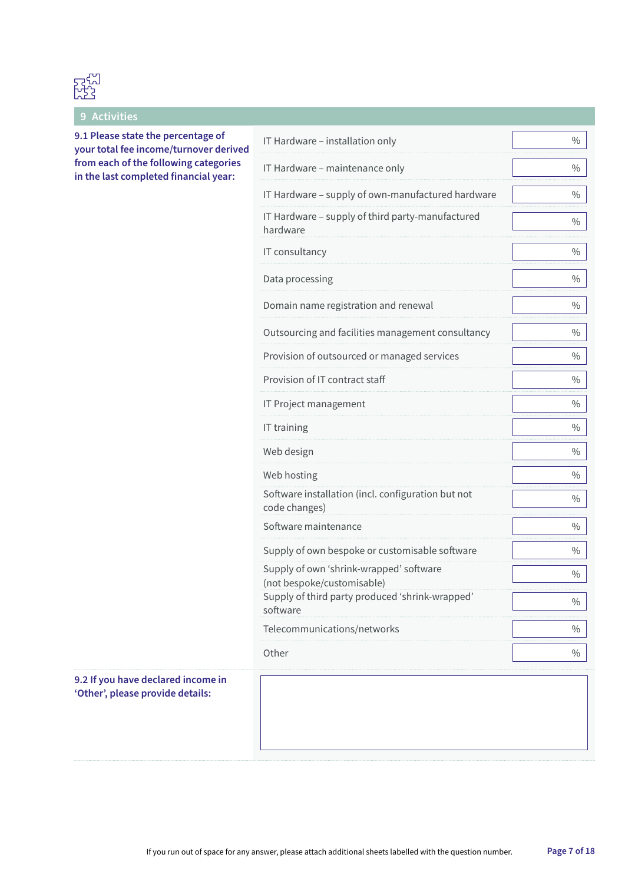

**9 Activities**

**9.1 Please state the percentage of your total fee income/turnover derived from each of the following categories in the last completed financial year:**

| IT Hardware - installation only                                       | $\frac{0}{0}$ |
|-----------------------------------------------------------------------|---------------|
| IT Hardware - maintenance only                                        | $\frac{0}{0}$ |
| IT Hardware - supply of own-manufactured hardware                     | $\frac{0}{0}$ |
| IT Hardware - supply of third party-manufactured<br>hardware          | $\frac{0}{0}$ |
| IT consultancy                                                        | 0/0           |
| Data processing                                                       | $\frac{0}{0}$ |
| Domain name registration and renewal                                  | $\frac{0}{0}$ |
| Outsourcing and facilities management consultancy                     | $\frac{0}{0}$ |
| Provision of outsourced or managed services                           | $\frac{0}{0}$ |
| Provision of IT contract staff                                        | $\frac{0}{0}$ |
| IT Project management                                                 | $\frac{0}{0}$ |
| IT training                                                           | 0/0           |
| Web design                                                            | $\frac{0}{0}$ |
| Web hosting                                                           | 0/0           |
| Software installation (incl. configuration but not<br>code changes)   | $\frac{0}{0}$ |
| Software maintenance                                                  | $\frac{0}{0}$ |
| Supply of own bespoke or customisable software                        | $\frac{0}{0}$ |
| Supply of own 'shrink-wrapped' software<br>(not bespoke/customisable) | 0/0           |
| Supply of third party produced 'shrink-wrapped'<br>software           | $\frac{0}{0}$ |
| Telecommunications/networks                                           | $\frac{0}{0}$ |
| Other                                                                 | $\frac{0}{0}$ |

#### **9.2 If you have declared income in 'Other', please provide details:**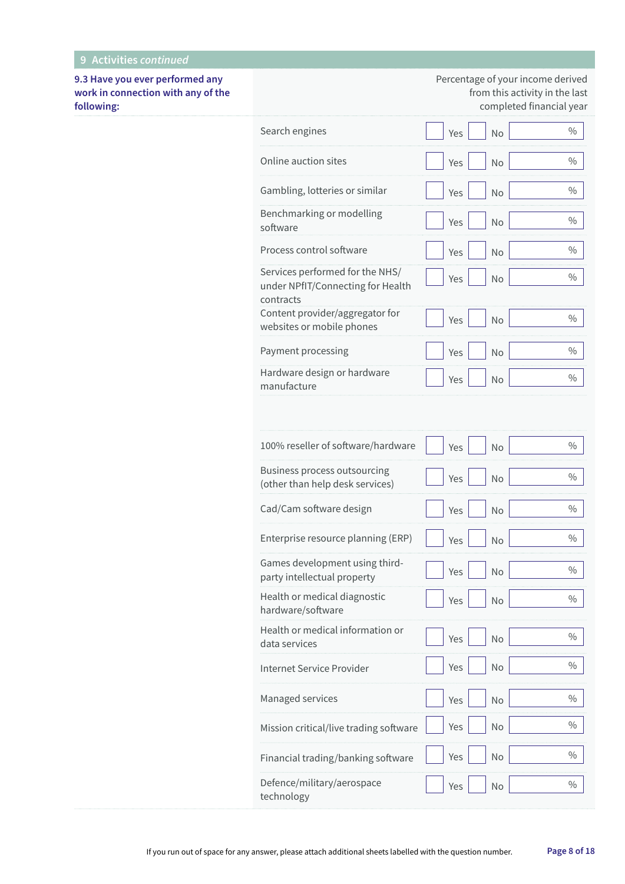**9.3 Have you ever performed any work in connection with any of the following:**

Percentage of your income derived from this activity in the last completed financial year

| Search engines                                                                    | Yes | No        | $\frac{0}{0}$ |
|-----------------------------------------------------------------------------------|-----|-----------|---------------|
| Online auction sites                                                              | Yes | No        | $\%$          |
| Gambling, lotteries or similar                                                    | Yes | No        | $\%$          |
| Benchmarking or modelling<br>software                                             | Yes | No        | $\%$          |
| Process control software                                                          | Yes | <b>No</b> | $\frac{0}{0}$ |
| Services performed for the NHS/<br>under NPfIT/Connecting for Health<br>contracts | Yes | No        | $\%$          |
| Content provider/aggregator for<br>websites or mobile phones                      | Yes | No        | $\frac{0}{0}$ |
| Payment processing                                                                | Yes | <b>No</b> | $\frac{0}{0}$ |
| Hardware design or hardware<br>manufacture                                        | Yes | No        | $\frac{0}{0}$ |
|                                                                                   |     |           |               |
| 100% reseller of software/hardware                                                | Yes | No        | $\frac{0}{0}$ |
| Business process outsourcing<br>(other than help desk services)                   | Yes | No        | $\%$          |
| Cad/Cam software design                                                           | Yes | No        | $\frac{0}{0}$ |
| Enterprise resource planning (ERP)                                                | Yes | No        | $\frac{0}{0}$ |
| Games development using third-<br>party intellectual property                     | Yes | No        | $\frac{0}{0}$ |
| Health or medical diagnostic<br>hardware/software                                 | Yes | No        | $\frac{0}{0}$ |
| Health or medical information or<br>data services                                 | Yes | No        | $\frac{0}{0}$ |
| Internet Service Provider                                                         | Yes | No        | $\%$          |
| Managed services                                                                  | Yes | <b>No</b> | $\%$          |
| Mission critical/live trading software                                            | Yes | No        | $\%$          |
| Financial trading/banking software                                                | Yes | No        | $\%$          |
| Defence/military/aerospace<br>technology                                          | Yes | No        | $\%$          |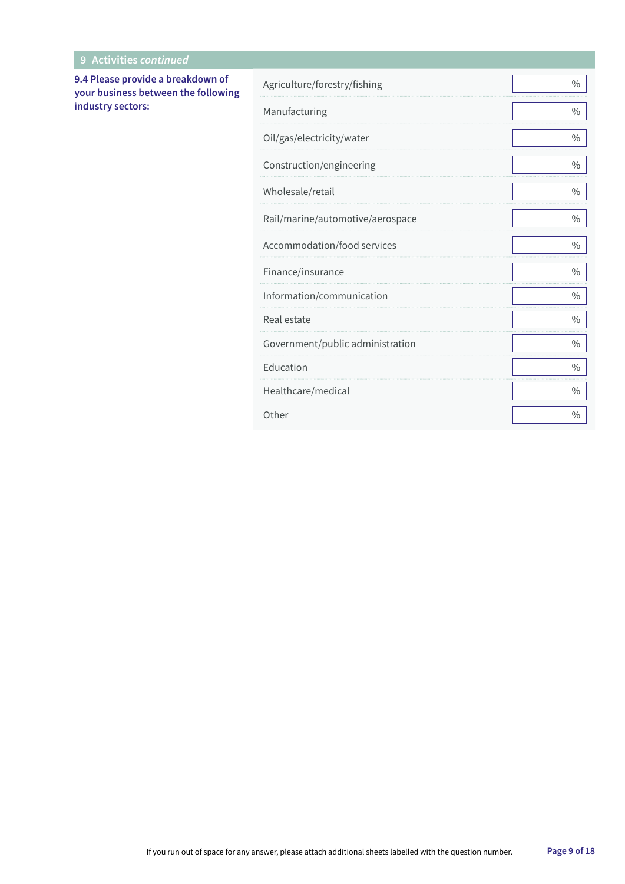| 9 Activities continued                                                                        |                                  |               |
|-----------------------------------------------------------------------------------------------|----------------------------------|---------------|
| 9.4 Please provide a breakdown of<br>your business between the following<br>industry sectors: | Agriculture/forestry/fishing     | $\frac{0}{0}$ |
|                                                                                               | Manufacturing                    | $\%$          |
|                                                                                               | Oil/gas/electricity/water        | $\%$          |
|                                                                                               | Construction/engineering         | $\%$          |
|                                                                                               | Wholesale/retail                 | $\frac{0}{0}$ |
|                                                                                               | Rail/marine/automotive/aerospace | $\%$          |
|                                                                                               | Accommodation/food services      | $\%$          |
|                                                                                               | Finance/insurance                | $\frac{0}{0}$ |
|                                                                                               | Information/communication        | $\frac{0}{0}$ |
|                                                                                               | Real estate                      | $\%$          |
|                                                                                               | Government/public administration | $\frac{0}{0}$ |
|                                                                                               | Education                        | $\%$          |
|                                                                                               | Healthcare/medical               | $\%$          |
|                                                                                               | Other                            | $\frac{0}{0}$ |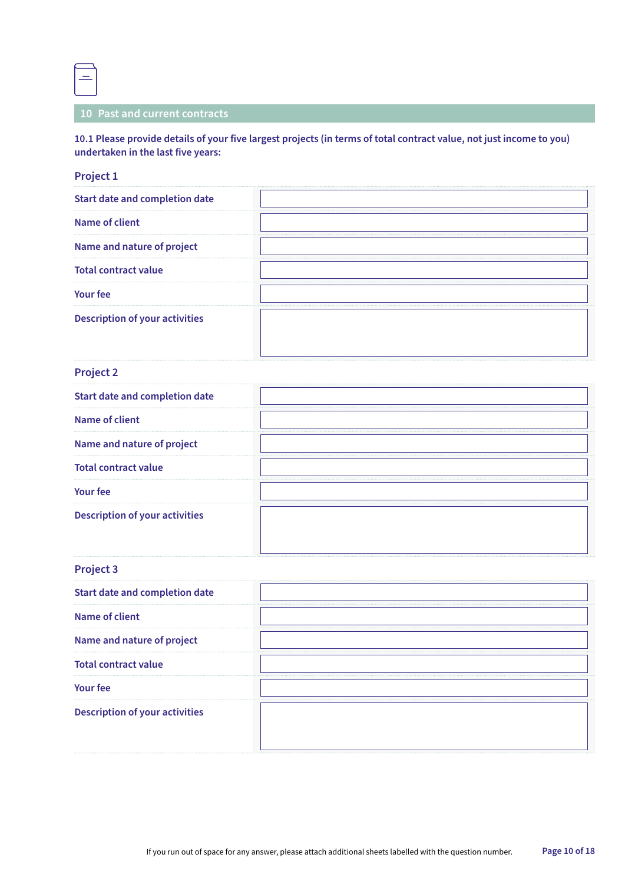

#### **10 Past and current contracts**

#### **10.1 Please provide details of your five largest projects (in terms of total contract value, not just income to you) undertaken in the last five years:**

#### **Project 1**

| <b>Start date and completion date</b> |  |
|---------------------------------------|--|
| Name of client                        |  |
| Name and nature of project            |  |
| <b>Total contract value</b>           |  |
| <b>Your fee</b>                       |  |
| <b>Description of your activities</b> |  |

#### **Project 2**

#### **Project 3**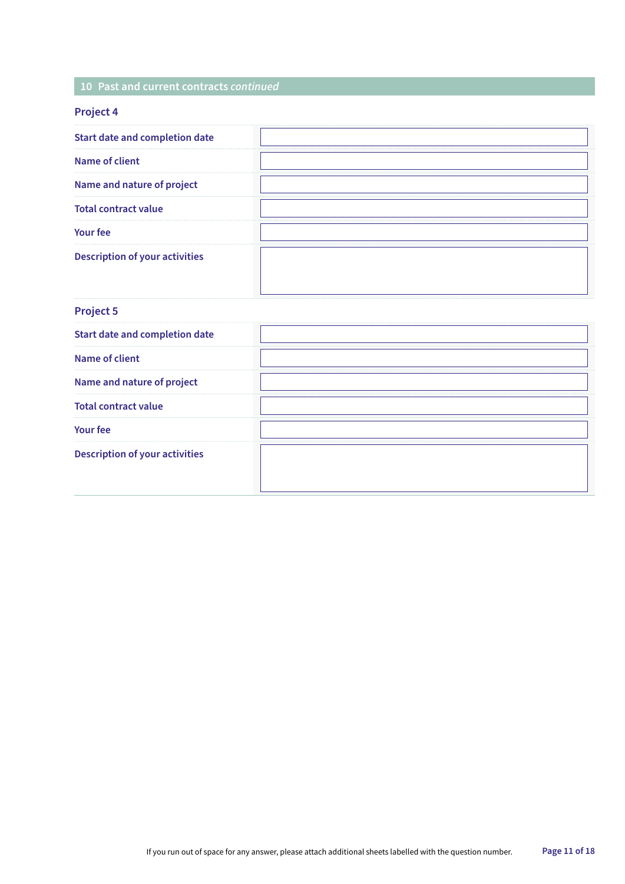#### **10 Past and current contracts** *continued*

| <b>Project 4</b> |  |
|------------------|--|
|------------------|--|

| <b>Project 5</b>                      |  |
|---------------------------------------|--|
| <b>Start date and completion date</b> |  |
| Name of client                        |  |
| Name and nature of project            |  |
| <b>Total contract value</b>           |  |
| <b>Your fee</b>                       |  |
| <b>Description of your activities</b> |  |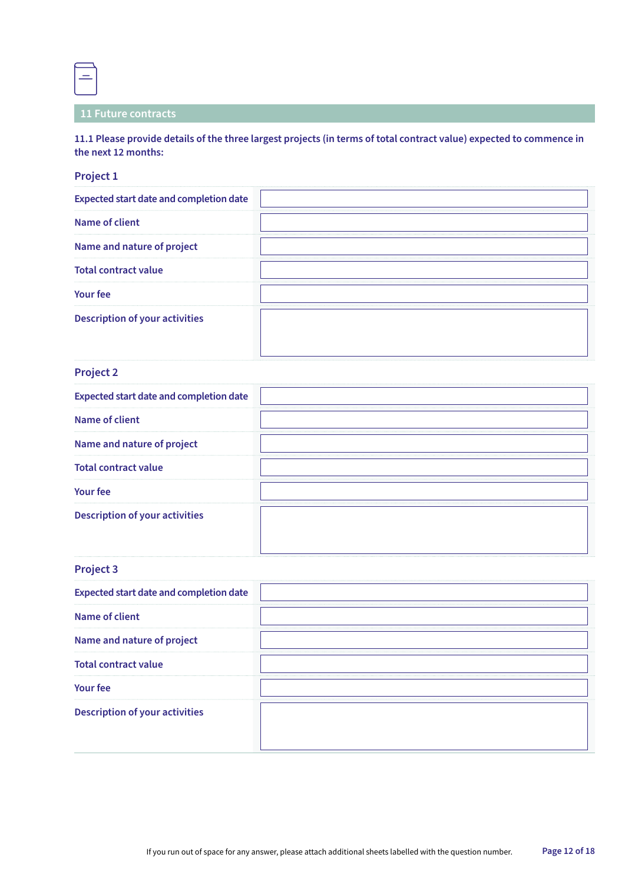**11 Future contracts**

**11.1 Please provide details of the three largest projects (in terms of total contract value) expected to commence in the next 12 months:**

#### **Project 1**

 $\equiv$ 

| <b>Expected start date and completion date</b> |  |
|------------------------------------------------|--|
| Name of client                                 |  |
| Name and nature of project                     |  |
| <b>Total contract value</b>                    |  |
| <b>Your fee</b>                                |  |
| <b>Description of your activities</b>          |  |

#### **Project 2**

| <b>Expected start date and completion date</b> |  |
|------------------------------------------------|--|
| Name of client                                 |  |
| Name and nature of project                     |  |
| <b>Total contract value</b>                    |  |
| <b>Your fee</b>                                |  |
| <b>Description of your activities</b>          |  |

#### **Project 3**

| <b>Expected start date and completion date</b> |  |
|------------------------------------------------|--|
| Name of client                                 |  |
| Name and nature of project                     |  |
| <b>Total contract value</b>                    |  |
| <b>Your fee</b>                                |  |
| <b>Description of your activities</b>          |  |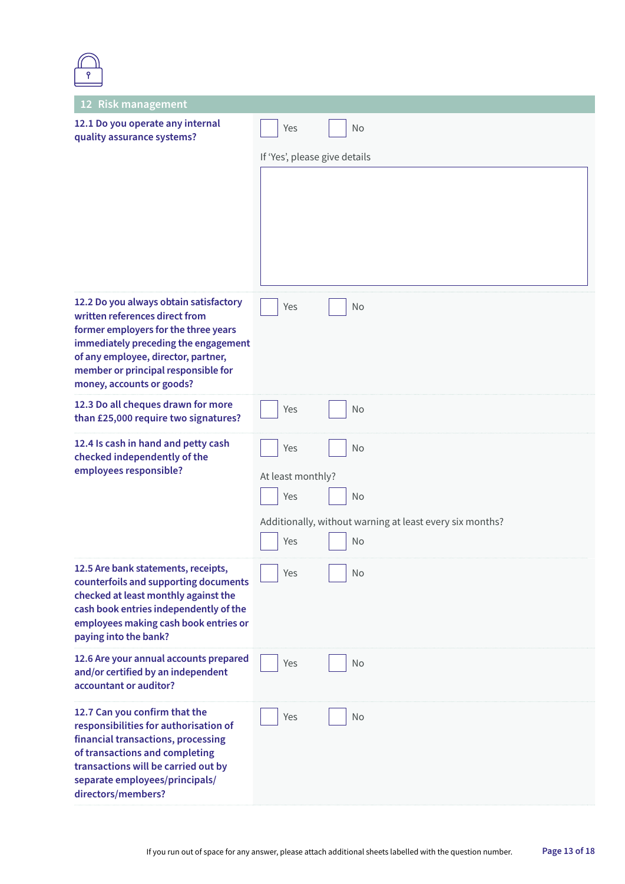| 12 Risk management                                                                                                                                                                                                                                                  |                               |                                                          |
|---------------------------------------------------------------------------------------------------------------------------------------------------------------------------------------------------------------------------------------------------------------------|-------------------------------|----------------------------------------------------------|
| 12.1 Do you operate any internal<br>quality assurance systems?                                                                                                                                                                                                      | Yes                           | No                                                       |
|                                                                                                                                                                                                                                                                     | If 'Yes', please give details |                                                          |
|                                                                                                                                                                                                                                                                     |                               |                                                          |
| 12.2 Do you always obtain satisfactory<br>written references direct from<br>former employers for the three years<br>immediately preceding the engagement<br>of any employee, director, partner,<br>member or principal responsible for<br>money, accounts or goods? | Yes                           | No                                                       |
| 12.3 Do all cheques drawn for more<br>than £25,000 require two signatures?                                                                                                                                                                                          | Yes                           | No                                                       |
| 12.4 Is cash in hand and petty cash<br>checked independently of the                                                                                                                                                                                                 | Yes                           | No                                                       |
| employees responsible?                                                                                                                                                                                                                                              | At least monthly?             |                                                          |
|                                                                                                                                                                                                                                                                     | Yes                           | No                                                       |
|                                                                                                                                                                                                                                                                     |                               | Additionally, without warning at least every six months? |
|                                                                                                                                                                                                                                                                     | Yes                           | <b>No</b>                                                |
| 12.5 Are bank statements, receipts,<br>counterfoils and supporting documents<br>checked at least monthly against the<br>cash book entries independently of the<br>employees making cash book entries or<br>paying into the bank?                                    | Yes                           | No                                                       |
| 12.6 Are your annual accounts prepared<br>and/or certified by an independent<br>accountant or auditor?                                                                                                                                                              | Yes                           | No                                                       |
| 12.7 Can you confirm that the<br>responsibilities for authorisation of<br>financial transactions, processing<br>of transactions and completing<br>transactions will be carried out by<br>separate employees/principals/<br>directors/members?                       | Yes                           | No                                                       |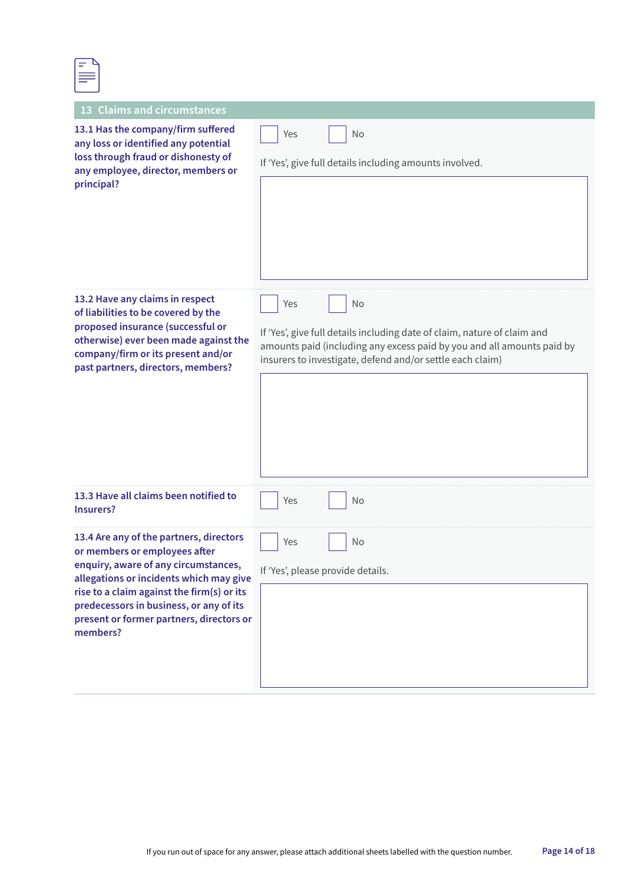| -                               |  |
|---------------------------------|--|
| <b>Service State</b><br>l<br>__ |  |
|                                 |  |

| <b>Claims and circumstances</b><br><b>13</b>                                                                                                                                                                                                                                                                 |                                                                                                                                                                                                                              |
|--------------------------------------------------------------------------------------------------------------------------------------------------------------------------------------------------------------------------------------------------------------------------------------------------------------|------------------------------------------------------------------------------------------------------------------------------------------------------------------------------------------------------------------------------|
| 13.1 Has the company/firm suffered<br>any loss or identified any potential<br>loss through fraud or dishonesty of<br>any employee, director, members or<br>principal?                                                                                                                                        | No<br>Yes<br>If 'Yes', give full details including amounts involved.                                                                                                                                                         |
| 13.2 Have any claims in respect<br>of liabilities to be covered by the<br>proposed insurance (successful or<br>otherwise) ever been made against the<br>company/firm or its present and/or<br>past partners, directors, members?                                                                             | No<br>Yes<br>If 'Yes', give full details including date of claim, nature of claim and<br>amounts paid (including any excess paid by you and all amounts paid by<br>insurers to investigate, defend and/or settle each claim) |
| 13.3 Have all claims been notified to<br><b>Insurers?</b>                                                                                                                                                                                                                                                    | Yes<br>No                                                                                                                                                                                                                    |
| 13.4 Are any of the partners, directors<br>or members or employees after<br>enquiry, aware of any circumstances,<br>allegations or incidents which may give<br>rise to a claim against the firm(s) or its<br>predecessors in business, or any of its<br>present or former partners, directors or<br>members? | No<br>Yes<br>If 'Yes', please provide details.                                                                                                                                                                               |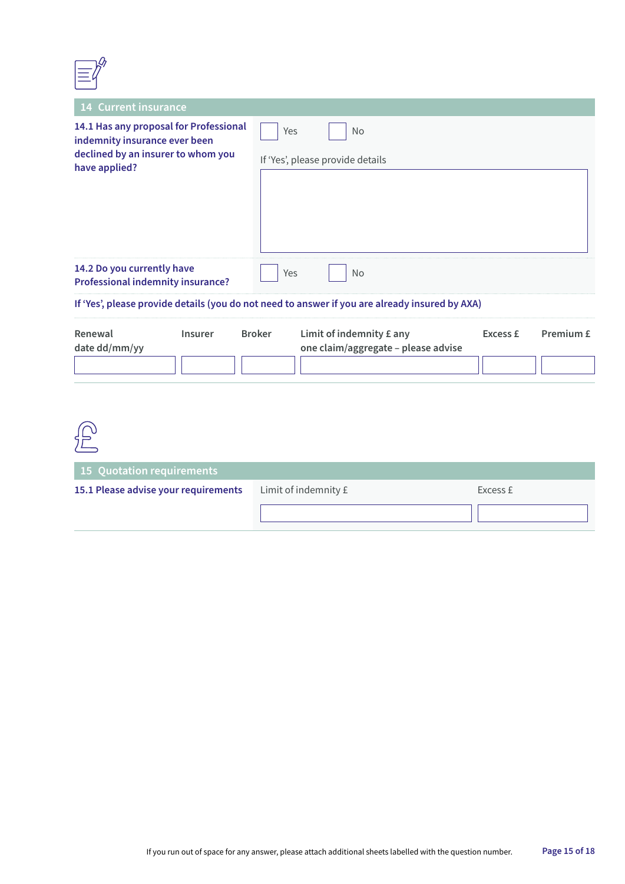

| <b>14 Current insurance</b>                                                                                                    |                                                      |  |
|--------------------------------------------------------------------------------------------------------------------------------|------------------------------------------------------|--|
| 14.1 Has any proposal for Professional<br>indemnity insurance ever been<br>declined by an insurer to whom you<br>have applied? | Yes<br><b>No</b><br>If 'Yes', please provide details |  |
| 14.2 Do you currently have<br><b>Professional indemnity insurance?</b>                                                         | Yes<br>No                                            |  |
| If 'Yes', please provide details (you do not need to answer if you are already insured by AXA)                                 |                                                      |  |
|                                                                                                                                |                                                      |  |

| Renewal       | Insurer | <b>Broker</b> | Limit of indemnity $E$ any          | Excess £ | Premium £ |
|---------------|---------|---------------|-------------------------------------|----------|-----------|
| date dd/mm/yy |         |               | one claim/aggregate - please advise |          |           |
|               |         |               |                                     |          |           |

| 宁                                    |                      |          |
|--------------------------------------|----------------------|----------|
| 15 Quotation requirements            |                      |          |
| 15.1 Please advise your requirements | Limit of indemnity £ | Excess £ |
|                                      |                      |          |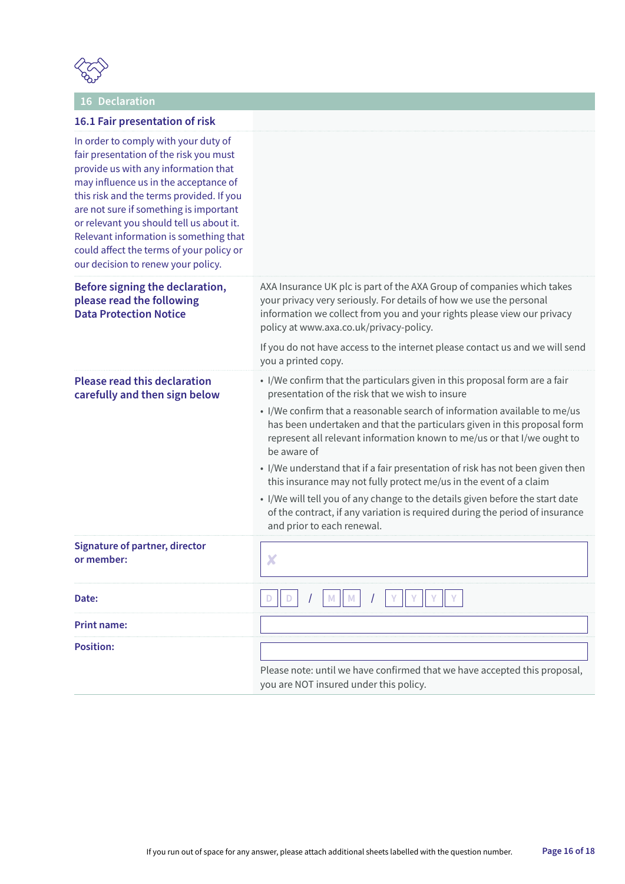

### **16 Declaration**

| 16.1 Fair presentation of risk                                                                                                                                                                                                                                                                                                                                                                                                |                                                                                                                                                                                                                                                                                                                                                                                                                                                                                                                                                                                                                                                                                                                                        |  |
|-------------------------------------------------------------------------------------------------------------------------------------------------------------------------------------------------------------------------------------------------------------------------------------------------------------------------------------------------------------------------------------------------------------------------------|----------------------------------------------------------------------------------------------------------------------------------------------------------------------------------------------------------------------------------------------------------------------------------------------------------------------------------------------------------------------------------------------------------------------------------------------------------------------------------------------------------------------------------------------------------------------------------------------------------------------------------------------------------------------------------------------------------------------------------------|--|
| In order to comply with your duty of<br>fair presentation of the risk you must<br>provide us with any information that<br>may influence us in the acceptance of<br>this risk and the terms provided. If you<br>are not sure if something is important<br>or relevant you should tell us about it.<br>Relevant information is something that<br>could affect the terms of your policy or<br>our decision to renew your policy. |                                                                                                                                                                                                                                                                                                                                                                                                                                                                                                                                                                                                                                                                                                                                        |  |
| Before signing the declaration,<br>please read the following<br><b>Data Protection Notice</b>                                                                                                                                                                                                                                                                                                                                 | AXA Insurance UK plc is part of the AXA Group of companies which takes<br>your privacy very seriously. For details of how we use the personal<br>information we collect from you and your rights please view our privacy<br>policy at www.axa.co.uk/privacy-policy.                                                                                                                                                                                                                                                                                                                                                                                                                                                                    |  |
|                                                                                                                                                                                                                                                                                                                                                                                                                               | If you do not have access to the internet please contact us and we will send<br>you a printed copy.                                                                                                                                                                                                                                                                                                                                                                                                                                                                                                                                                                                                                                    |  |
| <b>Please read this declaration</b><br>carefully and then sign below                                                                                                                                                                                                                                                                                                                                                          | • I/We confirm that the particulars given in this proposal form are a fair<br>presentation of the risk that we wish to insure<br>• I/We confirm that a reasonable search of information available to me/us<br>has been undertaken and that the particulars given in this proposal form<br>represent all relevant information known to me/us or that I/we ought to<br>be aware of<br>• I/We understand that if a fair presentation of risk has not been given then<br>this insurance may not fully protect me/us in the event of a claim<br>• I/We will tell you of any change to the details given before the start date<br>of the contract, if any variation is required during the period of insurance<br>and prior to each renewal. |  |
| <b>Signature of partner, director</b><br>or member:                                                                                                                                                                                                                                                                                                                                                                           | X                                                                                                                                                                                                                                                                                                                                                                                                                                                                                                                                                                                                                                                                                                                                      |  |
| Date:                                                                                                                                                                                                                                                                                                                                                                                                                         |                                                                                                                                                                                                                                                                                                                                                                                                                                                                                                                                                                                                                                                                                                                                        |  |
| <b>Print name:</b>                                                                                                                                                                                                                                                                                                                                                                                                            |                                                                                                                                                                                                                                                                                                                                                                                                                                                                                                                                                                                                                                                                                                                                        |  |
| <b>Position:</b>                                                                                                                                                                                                                                                                                                                                                                                                              | Please note: until we have confirmed that we have accepted this proposal,<br>you are NOT insured under this policy.                                                                                                                                                                                                                                                                                                                                                                                                                                                                                                                                                                                                                    |  |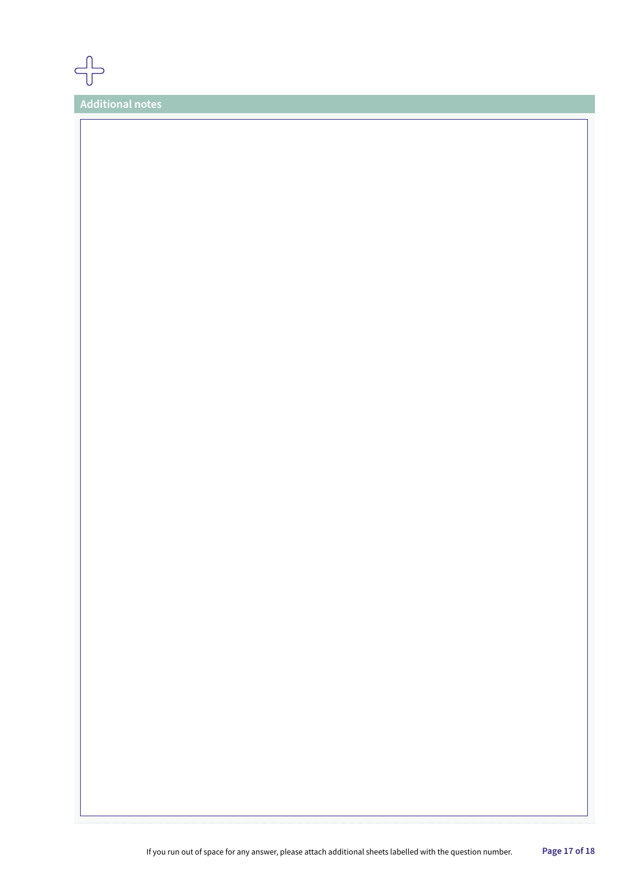

**Additional notes**